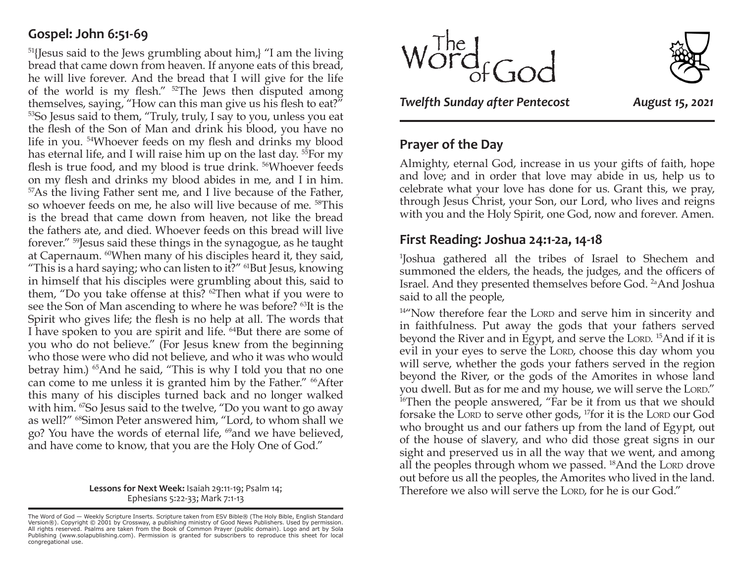# **Gospel: John 6:51-69**

 $51$ [Jesus said to the Jews grumbling about him,] "I am the living bread that came down from heaven. If anyone eats of this bread, he will live forever. And the bread that I will give for the life of the world is my flesh." 52The Jews then disputed among themselves, saying, "How can this man give us his flesh to eat?" 53So Jesus said to them, "Truly, truly, I say to you, unless you eat the flesh of the Son of Man and drink his blood, you have no life in you. 54Whoever feeds on my flesh and drinks my blood has eternal life, and I will raise him up on the last day.<sup>55</sup>For my flesh is true food, and my blood is true drink. <sup>56</sup>Whoever feeds on my flesh and drinks my blood abides in me, and I in him. 57As the living Father sent me, and I live because of the Father, so whoever feeds on me, he also will live because of me. 58This is the bread that came down from heaven, not like the bread the fathers ate, and died. Whoever feeds on this bread will live forever." 59Jesus said these things in the synagogue, as he taught at Capernaum. 60When many of his disciples heard it, they said, "This is a hard saying; who can listen to it?"  $61$ But Jesus, knowing in himself that his disciples were grumbling about this, said to them, "Do you take offense at this? 62Then what if you were to see the Son of Man ascending to where he was before? 63It is the Spirit who gives life; the flesh is no help at all. The words that I have spoken to you are spirit and life. 64But there are some of you who do not believe." (For Jesus knew from the beginning who those were who did not believe, and who it was who would betray him.) 65And he said, "This is why I told you that no one can come to me unless it is granted him by the Father." <sup>66</sup>After this many of his disciples turned back and no longer walked with him. <sup>67</sup>So Jesus said to the twelve, "Do you want to go away as well?" 68Simon Peter answered him, "Lord, to whom shall we go? You have the words of eternal life, 69and we have believed, and have come to know, that you are the Holy One of God."

> **Lessons for Next Week:** Isaiah 29:11-19; Psalm 14; Ephesians 5:22-33; Mark 7:1-13





*Twelfth Sunday after Pentecost August 15, 2021*

## **Prayer of the Day**

Almighty, eternal God, increase in us your gifts of faith, hope and love; and in order that love may abide in us, help us to celebrate what your love has done for us. Grant this, we pray, through Jesus Christ, your Son, our Lord, who lives and reigns with you and the Holy Spirit, one God, now and forever. Amen.

### **First Reading: Joshua 24:1-2a, 14-18**

1 Joshua gathered all the tribes of Israel to Shechem and summoned the elders, the heads, the judges, and the officers of Israel. And they presented themselves before God. <sup>2a</sup>And Joshua said to all the people,

 $14^{\prime\prime}$ Now therefore fear the LORD and serve him in sincerity and in faithfulness. Put away the gods that your fathers served beyond the River and in Egypt, and serve the Lord. <sup>15</sup>And if it is evil in your eyes to serve the LORD, choose this day whom you will serve, whether the gods your fathers served in the region beyond the River, or the gods of the Amorites in whose land you dwell. But as for me and my house, we will serve the Lord." <sup>16</sup>Then the people answered, "Far be it from us that we should forsake the Lord to serve other gods,  $^{17}$ for it is the Lord our God who brought us and our fathers up from the land of Egypt, out of the house of slavery, and who did those great signs in our sight and preserved us in all the way that we went, and among all the peoples through whom we passed.  $^{18}$ And the Lord drove out before us all the peoples, the Amorites who lived in the land. Therefore we also will serve the LORD, for he is our God."

The Word of God — Weekly Scripture Inserts. Scripture taken from ESV Bible® (The Holy Bible, English Standard<br>Version®). Copyright © 2001 by Crossway, a publishing ministry of Good News Publishers. Used by permission.<br>All congregational use.